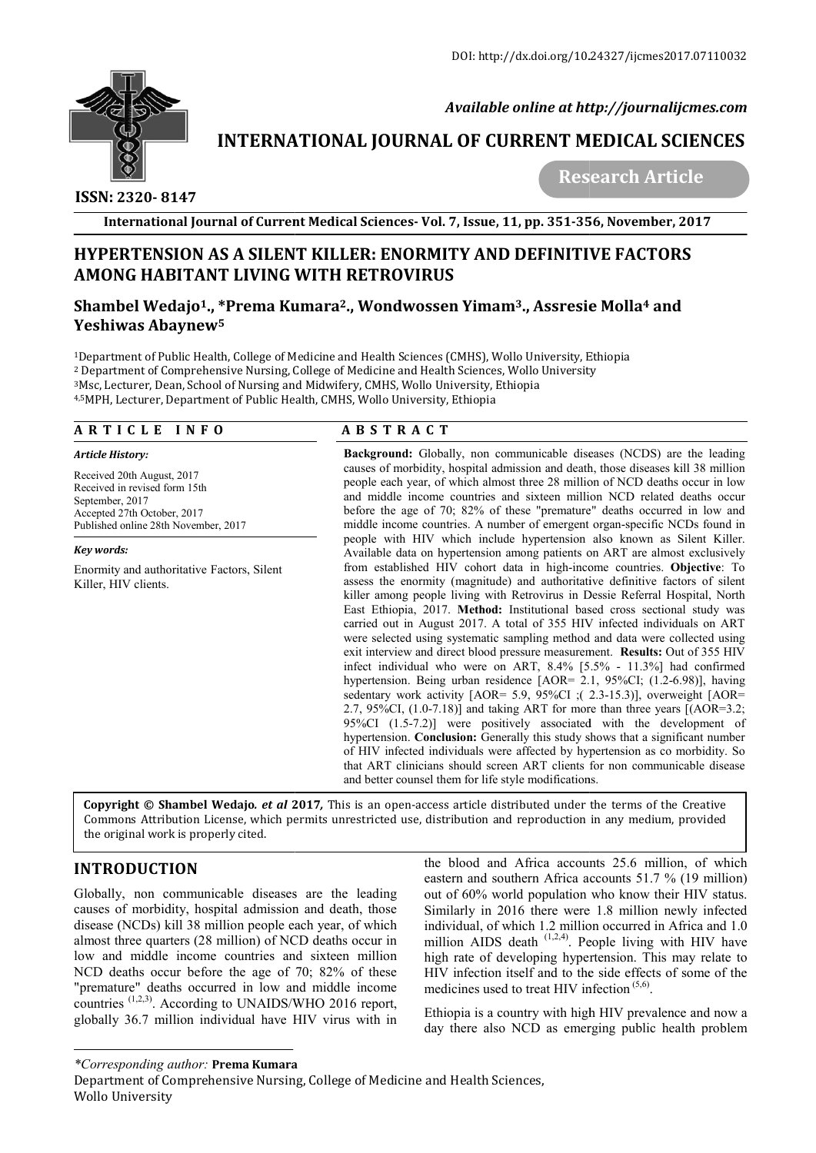

 *Available online at http://journalijcmes.com*

# **INTERNATIONAL JOURNAL OF CURRENT MEDICAL SCIENCES**<br>Research Article

# **ISSN: 2320- 8147**

 **Research Article**

**International Journal of Current Medical Sciences Sciences- Vol. 7, Issue, 11, pp. 351-356**

# **HYPERTENSION AS A SILENT KILLER: ENORMITY AND DEFINITIVE FACTORS KILLER: ENORMITY AMONG HABITANT LIVING WITH RETROVIRUS**

## **Shambel Wedajo<sup>1</sup>., \*Prema Kumara<sup>2</sup>., Wondwossen Yimam<sup>3</sup>., Assresie Molla<sup>4</sup> and Yeshiwas Abaynew5**

<sup>1</sup>Department of Public Health, College of Medicine and Health Sciences (CMHS), Wollo University, Ethiopia <sup>1</sup>Department of Public Health, College of Medicine and Health Sciences (CMHS), Wollo University, Et<br><sup>2</sup> Department of Comprehensive Nursing, College of Medicine and Health Sciences, Wollo University  $^3$ Msc, Lecturer, Dean, School of Nursing and Midwifery, CMHS, Wollo University, Ethiopia 4,5MPH, Lecturer, Department of Public Health, CMHS, Wollo University, Ethiopia MPH,

## **A R T I C L E I N F O**

#### *Article History:*

Received 20th August, 2017 Received in revised form 15th September, 2017 Accepted 27th October, 2017 Published online 28th November, 2017

#### *Key words:*

Enormity and authoritative Factors, Silent Killer, HIV clients.

# **A B S T R A C T**

**Background:** Globally, non communicable diseases (NCDS) are the leading Background: Globally, non communicable diseases (NCDS) are the leading causes of morbidity, hospital admission and death, those diseases kill 38 million people each year, of which almost three 28 million of NCD deaths occur in low and middle income countries and sixteen million NCD related deaths occur before the age of 70; 82% of these "premature" deaths occurred in low and middle income countries. A number of emergent organ-specific NCDs found in people with HIV which include hypertension also known as Silent Killer. Available data on hypertension among patients on ART are almost exclusively Available data on hypertension among patients on ART are almost exclusively from established HIV cohort data in high-income countries. **Objective**: To assess the enormity (magnitude) and authoritative definitive factors definitive factors of silent killer among people living with Retrovirus in Dessie Referral Hospital, North killer among people living with Retrovirus in Dessie Referral Hospital, North<br>East Ethiopia, 2017. Method: Institutional based cross sectional study was carried out in August 2017. A total of 355 HIV infected individuals on ART were selected using systematic sampling method and data were collected using exit interview and direct blood pressure measurement. Results: Out of 355 HIV infect individual who were on ART,  $8.4\%$  [5.5% - 11.3%] had confirmed hypertension. Being urban residence [AOR= 2.1, 95%CI; (1.2 95%CI; (1.2-6.98)], having sedentary work activity  $[AOR = 5.9, 95\%CI$ ;  $(2.3-15.3)$ ], overweight  $[AOR =$ 2.7, 95%CI,  $(1.0\n-7.18)$ ] and taking ART for more than three years  $[(AOR=3.2;$  $95\%CI$   $(1.5-7.2)$ ] were positively associated with the development of hypertension. **Conclusion:** Generally this study shows that a significant number of HIV infected individuals were affected by hypertension as co morbidity. So that ART clinicians should screen ART clients for non communicable disease and better counsel them for life style modifications. year, of which almost three 28 million of NCD deaths occur in low<br>income countries and sixteen million NCD related deaths occur<br>ge of 70; 82% of these "premature" deaths occurred in low and<br>ne countries. A number of emerge carried out in August 2017. A total of 355 HIV infected individuals on ART were selected using systematic sampling method and data were collected using exit interview and direct blood pressure measurement. **Results:** Out o **Ie, 11, pp. 351-356, November, 2017**<br> **ND DEFINITIVE FACTORS**<br> **ND DEFINITIVE FACTORS**<br> **EXECTORS**<br> **EXECTORS**<br> **EXECTORS**<br> **EXECTORS**<br> **EXECTORS**<br> **EXECTORS**<br> **EXECTORS**<br> **EXECTORS**<br> **EXECTIVE TO THE AND ASSEM ASSEM AND** 

**Copyright © Shambel Wedajo.** *et al* **2017**, This is an open-access article distributed under the terms of the Creative Commons Attribution License, which permits unrestricted use, distribution and reproduction in any medium, provided Commons the original work is properly cited.

# **INTRODUCTION**

Globally, non communicable diseases are the leading causes of morbidity, hospital admission and death, those disease (NCDs) kill 38 million people each year, of which almost three quarters (28 million) of NCD deaths occur in low and middle income countries and sixteen million NCD deaths occur before the age of 70; 82% of these "premature" deaths occurred in low and middle income countries  $(1,2,3)$ . According to UNAIDS/WHO 2016 report, globally 36.7 million individual have HIV virus with in

the blood and Africa accounts 25.6 million, of which eastern and southern Africa accounts 51.7 % (19 million) out of 60% world population who know their HIV status. Similarly in 2016 there were 1.8 million newly infected individual, of which 1.2 million occurred in Africa and 1.0 million AIDS death  $(1,2,4)$ . People living with HIV have high rate of developing hypertension. This may relate to HIV infection itself and to the side effects of some of the medicines used to treat HIV infection  $(5,6)$ . medicines used to treat HIV infection  $(5,6)$ . of HIV infected individuals were affected by hypertension as co morbidity. So<br>that ART clinicians should screen ART clients for non communicable disease<br>and better counsel them for life style modifications.<br>is is an open-

> Ethiopia is a country with high HIV prevalence and now a day there also NCD as emerging public health problem

#### *\*Corresponding author:* **Prema Kumara**

Department of Comprehensive Nursing, College of Medicine and Health Sciences, Wollo University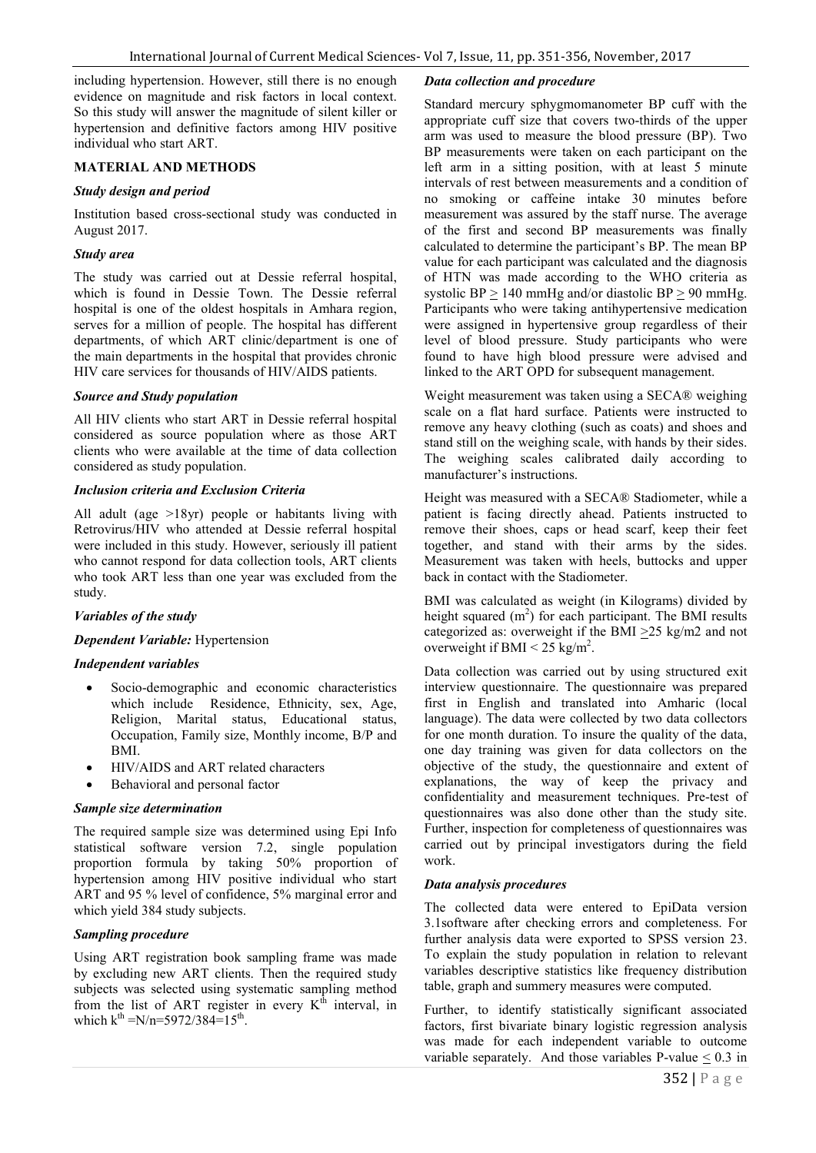including hypertension. However, still there is no enough evidence on magnitude and risk factors in local context. So this study will answer the magnitude of silent killer or hypertension and definitive factors among HIV positive individual who start ART.

#### **MATERIAL AND METHODS**

#### *Study design and period*

Institution based cross-sectional study was conducted in August 2017.

#### *Study area*

The study was carried out at Dessie referral hospital, which is found in Dessie Town. The Dessie referral hospital is one of the oldest hospitals in Amhara region. serves for a million of people. The hospital has different departments, of which ART clinic/department is one of the main departments in the hospital that provides chronic HIV care services for thousands of HIV/AIDS patients.

#### *Source and Study population*

All HIV clients who start ART in Dessie referral hospital considered as source population where as those ART clients who were available at the time of data collection considered as study population.

#### *Inclusion criteria and Exclusion Criteria*

All adult (age >18yr) people or habitants living with Retrovirus/HIV who attended at Dessie referral hospital were included in this study. However, seriously ill patient who cannot respond for data collection tools, ART clients who took ART less than one year was excluded from the study.

### *Variables of the study*

#### *Dependent Variable:* Hypertension

#### *Independent variables*

- Socio-demographic and economic characteristics which include Residence, Ethnicity, sex, Age, Religion, Marital status, Educational status, Occupation, Family size, Monthly income, B/P and BMI.
- HIV/AIDS and ART related characters
- Behavioral and personal factor

#### *Sample size determination*

The required sample size was determined using Epi Info statistical software version 7.2, single population proportion formula by taking 50% proportion of hypertension among HIV positive individual who start ART and 95 % level of confidence, 5% marginal error and which yield 384 study subjects.

#### *Sampling procedure*

Using ART registration book sampling frame was made by excluding new ART clients. Then the required study subjects was selected using systematic sampling method from the list of ART register in every  $K<sup>th</sup>$  interval, in which  $k^{th} = N/n = 5972/384 = 15^{th}$ .

#### *Data collection and procedure*

Standard mercury sphygmomanometer BP cuff with the appropriate cuff size that covers two-thirds of the upper arm was used to measure the blood pressure (BP). Two BP measurements were taken on each participant on the left arm in a sitting position, with at least 5 minute intervals of rest between measurements and a condition of no smoking or caffeine intake 30 minutes before measurement was assured by the staff nurse. The average of the first and second BP measurements was finally calculated to determine the participant's BP. The mean BP value for each participant was calculated and the diagnosis of HTN was made according to the WHO criteria as systolic BP  $> 140$  mmHg and/or diastolic BP  $> 90$  mmHg. Participants who were taking antihypertensive medication were assigned in hypertensive group regardless of their level of blood pressure. Study participants who were found to have high blood pressure were advised and linked to the ART OPD for subsequent management.

Weight measurement was taken using a SECA® weighing scale on a flat hard surface. Patients were instructed to remove any heavy clothing (such as coats) and shoes and stand still on the weighing scale, with hands by their sides. The weighing scales calibrated daily according to manufacturer's instructions.

Height was measured with a SECA® Stadiometer, while a patient is facing directly ahead. Patients instructed to remove their shoes, caps or head scarf, keep their feet together, and stand with their arms by the sides. Measurement was taken with heels, buttocks and upper back in contact with the Stadiometer.

BMI was calculated as weight (in Kilograms) divided by height squared  $(m<sup>2</sup>)$  for each participant. The BMI results categorized as: overweight if the BMI  $\geq$ 25 kg/m2 and not overweight if BMI <  $25 \text{ kg/m}^2$ .

Data collection was carried out by using structured exit interview questionnaire. The questionnaire was prepared first in English and translated into Amharic (local language). The data were collected by two data collectors for one month duration. To insure the quality of the data, one day training was given for data collectors on the objective of the study, the questionnaire and extent of explanations, the way of keep the privacy and confidentiality and measurement techniques. Pre-test of questionnaires was also done other than the study site. Further, inspection for completeness of questionnaires was carried out by principal investigators during the field work.

#### *Data analysis procedures*

The collected data were entered to EpiData version 3.1software after checking errors and completeness. For further analysis data were exported to SPSS version 23. To explain the study population in relation to relevant variables descriptive statistics like frequency distribution table, graph and summery measures were computed.

Further, to identify statistically significant associated factors, first bivariate binary logistic regression analysis was made for each independent variable to outcome variable separately. And those variables P-value  $\leq 0.3$  in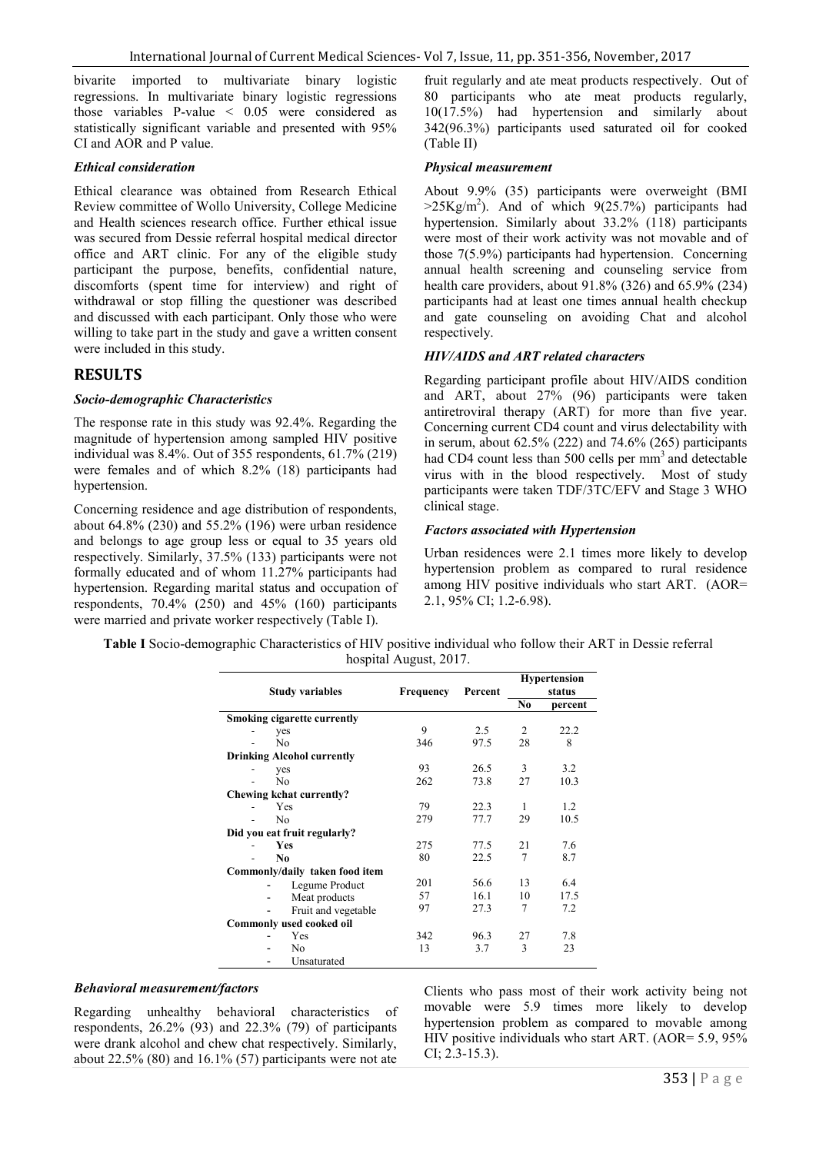bivarite imported to multivariate binary logistic regressions. In multivariate binary logistic regressions those variables P-value  $\leq 0.05$  were considered as statistically significant variable and presented with 95% CI and AOR and P value.

#### *Ethical consideration*

Ethical clearance was obtained from Research Ethical Review committee of Wollo University, College Medicine and Health sciences research office. Further ethical issue was secured from Dessie referral hospital medical director office and ART clinic. For any of the eligible study participant the purpose, benefits, confidential nature, discomforts (spent time for interview) and right of withdrawal or stop filling the questioner was described and discussed with each participant. Only those who were willing to take part in the study and gave a written consent were included in this study.

#### **RESULTS**

#### *Socio-demographic Characteristics*

The response rate in this study was 92.4%. Regarding the magnitude of hypertension among sampled HIV positive individual was 8.4%. Out of 355 respondents, 61.7% (219) were females and of which 8.2% (18) participants had hypertension.

Concerning residence and age distribution of respondents, about 64.8% (230) and 55.2% (196) were urban residence and belongs to age group less or equal to 35 years old respectively. Similarly, 37.5% (133) participants were not formally educated and of whom 11.27% participants had hypertension. Regarding marital status and occupation of respondents, 70.4% (250) and 45% (160) participants were married and private worker respectively (Table I).

fruit regularly and ate meat products respectively. Out of 80 participants who ate meat products regularly, 10(17.5%) had hypertension and similarly about 342(96.3%) participants used saturated oil for cooked (Table II)

#### *Physical measurement*

About 9.9% (35) participants were overweight (BMI  $>25Kg/m<sup>2</sup>$ ). And of which  $9(25.7%)$  participants had hypertension. Similarly about 33.2% (118) participants were most of their work activity was not movable and of those 7(5.9%) participants had hypertension. Concerning annual health screening and counseling service from health care providers, about 91.8% (326) and 65.9% (234) participants had at least one times annual health checkup and gate counseling on avoiding Chat and alcohol respectively.

#### *HIV/AIDS and ART related characters*

Regarding participant profile about HIV/AIDS condition and ART, about 27% (96) participants were taken antiretroviral therapy (ART) for more than five year. Concerning current CD4 count and virus delectability with in serum, about  $62.5\%$  (222) and  $74.6\%$  (265) participants had CD4 count less than 500 cells per mm<sup>3</sup> and detectable virus with in the blood respectively. Most of study participants were taken TDF/3TC/EFV and Stage 3 WHO clinical stage.

#### *Factors associated with Hypertension*

Urban residences were 2.1 times more likely to develop hypertension problem as compared to rural residence among HIV positive individuals who start ART. (AOR= 2.1, 95% CI; 1.2-6.98).

**Table I** Socio-demographic Characteristics of HIV positive individual who follow their ART in Dessie referral hospital August, 2017.

|                                    |           | Percent | <b>Hypertension</b> |         |
|------------------------------------|-----------|---------|---------------------|---------|
| <b>Study variables</b>             | Frequency |         | status              |         |
|                                    |           |         | N <sub>0</sub>      | percent |
| <b>Smoking cigarette currently</b> |           |         |                     |         |
| yes                                | 9         | 2.5     | 2                   | 22.2    |
| No                                 | 346       | 97.5    | 28                  | 8       |
| <b>Drinking Alcohol currently</b>  |           |         |                     |         |
| yes                                | 93        | 26.5    | 3                   | 3.2     |
| N <sub>0</sub>                     | 262       | 73.8    | 27                  | 10.3    |
| Chewing kchat currently?           |           |         |                     |         |
| Yes                                | 79        | 22.3    | 1                   | 1.2     |
| N <sub>0</sub>                     | 279       | 77.7    | 29                  | 10.5    |
| Did you eat fruit regularly?       |           |         |                     |         |
| <b>Yes</b>                         | 275       | 77.5    | 21                  | 7.6     |
| N <sub>0</sub>                     | 80        | 22.5    | 7                   | 8.7     |
| Commonly/daily taken food item     |           |         |                     |         |
| Legume Product                     | 201       | 56.6    | 13                  | 6.4     |
| Meat products                      | 57        | 16.1    | 10                  | 17.5    |
| Fruit and vegetable                | 97        | 27.3    | 7                   | 7.2     |
| <b>Commonly used cooked oil</b>    |           |         |                     |         |
| Yes                                | 342       | 96.3    | 27                  | 7.8     |
| No                                 | 13        | 3.7     | 3                   | 23      |
| Unsaturated                        |           |         |                     |         |

#### *Behavioral measurement/factors*

Regarding unhealthy behavioral characteristics of respondents, 26.2% (93) and 22.3% (79) of participants were drank alcohol and chew chat respectively. Similarly, about  $22.5\%$  (80) and  $16.1\%$  (57) participants were not ate

Clients who pass most of their work activity being not movable were 5.9 times more likely to develop hypertension problem as compared to movable among HIV positive individuals who start ART. (AOR= 5.9, 95% CI; 2.3-15.3).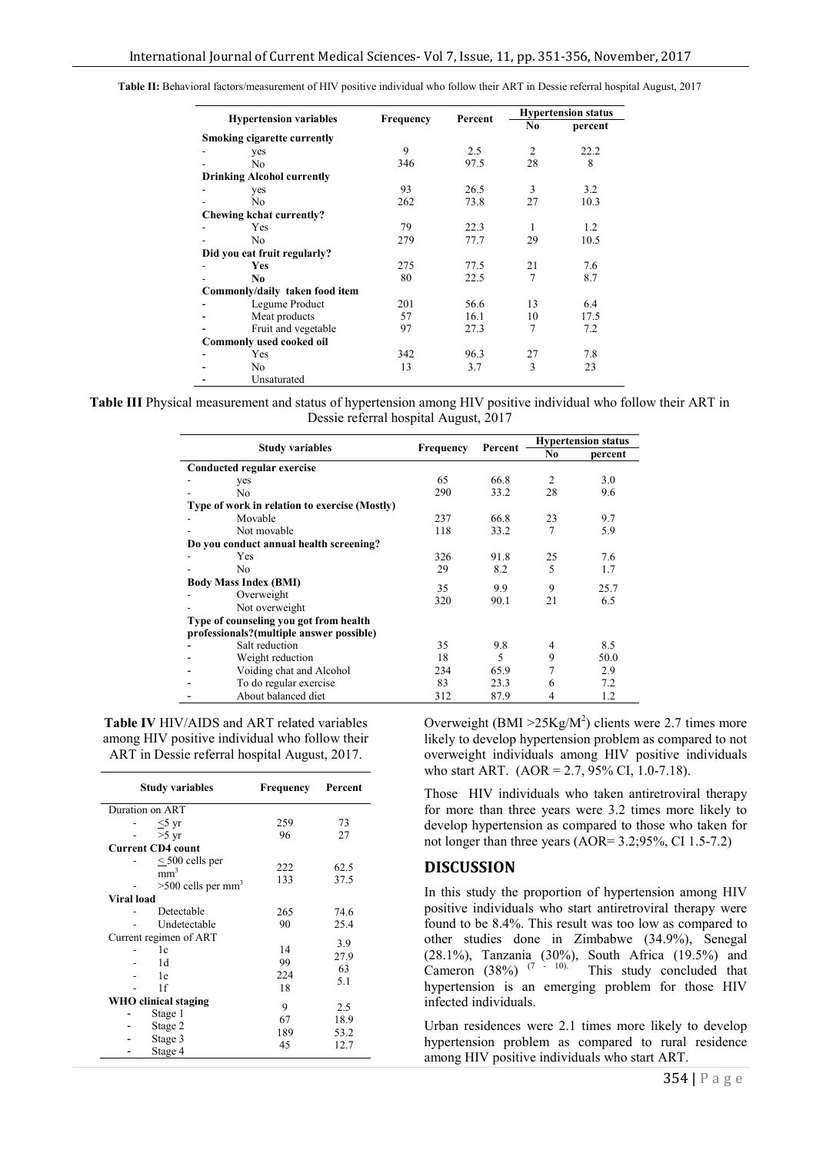| <b>Hypertension variables</b>  |                                    | <b>Frequency</b> |         |                | <b>Hypertension status</b> |  |
|--------------------------------|------------------------------------|------------------|---------|----------------|----------------------------|--|
|                                |                                    |                  | Percent | No             | percent                    |  |
|                                | <b>Smoking cigarette currently</b> |                  |         |                |                            |  |
|                                | yes                                | 9                | 2.5     | 2              | 22.2                       |  |
|                                | No                                 | 346              | 97.5    | 28             | 8                          |  |
|                                | <b>Drinking Alcohol currently</b>  |                  |         |                |                            |  |
|                                | yes                                | 93               | 26.5    | 3              | 3.2                        |  |
|                                | No                                 | 262              | 73.8    | 27             | 10.3                       |  |
|                                | Chewing kchat currently?           |                  |         |                |                            |  |
|                                | Yes                                | 79               | 22.3    | 1              | 1.2                        |  |
|                                | N <sub>0</sub>                     | 279              | 77.7    | 29             | 10.5                       |  |
| Did you eat fruit regularly?   |                                    |                  |         |                |                            |  |
|                                | Yes                                | 275              | 77.5    | 21             | 7.6                        |  |
|                                | No                                 | 80               | 22.5    | $\overline{7}$ | 8.7                        |  |
| Commonly/daily taken food item |                                    |                  |         |                |                            |  |
|                                | Legume Product                     | 201              | 56.6    | 13             | 6.4                        |  |
|                                | Meat products                      | 57               | 16.1    | 10             | 17.5                       |  |
|                                | Fruit and vegetable                | 97               | 27.3    | 7              | 7.2                        |  |
|                                | Commonly used cooked oil           |                  |         |                |                            |  |
|                                | Yes                                | 342              | 96.3    | 27             | 7.8                        |  |
|                                | No                                 | 13               | 3.7     | 3              | 23                         |  |
|                                | Unsaturated                        |                  |         |                |                            |  |

**Table II:** Behavioral factors/measurement of HIV positive individual who follow their ART in Dessie referral hospital August, 2017

**Table III** Physical measurement and status of hypertension among HIV positive individual who follow their ART in Dessie referral hospital August, 2017

|                              |                                               |                             |      | <b>Hypertension status</b> |         |  |  |  |
|------------------------------|-----------------------------------------------|-----------------------------|------|----------------------------|---------|--|--|--|
|                              | <b>Study variables</b>                        | <b>Frequency</b><br>Percent |      | No                         | percent |  |  |  |
| Conducted regular exercise   |                                               |                             |      |                            |         |  |  |  |
|                              | yes                                           | 65                          | 66.8 | $\overline{2}$             | 3.0     |  |  |  |
|                              | No                                            | 290                         | 33.2 | 28                         | 9.6     |  |  |  |
|                              | Type of work in relation to exercise (Mostly) |                             |      |                            |         |  |  |  |
|                              | Movable                                       | 237                         | 66.8 | 23                         | 9.7     |  |  |  |
|                              | Not movable                                   | 118                         | 33.2 | $\tau$                     | 5.9     |  |  |  |
|                              | Do you conduct annual health screening?       |                             |      |                            |         |  |  |  |
|                              | Yes                                           | 326                         | 91.8 | 25                         | 7.6     |  |  |  |
|                              | No                                            | 29                          | 8.2  | 5                          | 1.7     |  |  |  |
| <b>Body Mass Index (BMI)</b> |                                               |                             |      |                            |         |  |  |  |
|                              | Overweight                                    | 35                          | 9.9  | 9                          | 25.7    |  |  |  |
|                              | Not overweight                                | 320                         | 90.1 | 21                         | 6.5     |  |  |  |
|                              | Type of counseling you got from health        |                             |      |                            |         |  |  |  |
|                              | professionals?(multiple answer possible)      |                             |      |                            |         |  |  |  |
|                              | Salt reduction                                | 35                          | 9.8  | 4                          | 8.5     |  |  |  |
|                              | Weight reduction                              | 18                          | 5    | 9                          | 50.0    |  |  |  |
|                              | Voiding chat and Alcohol                      | 234                         | 65.9 | 7                          | 2.9     |  |  |  |
|                              | To do regular exercise                        | 83                          | 23.3 | 6                          | 7.2     |  |  |  |
|                              | About balanced diet                           | 312                         | 87.9 | 4                          | 1.2     |  |  |  |
|                              |                                               |                             |      |                            |         |  |  |  |

**Table IV** HIV/AIDS and ART related variables among HIV positive individual who follow their ART in Dessie referral hospital August, 2017.

| <b>Study variables</b> |                                                                             | Frequency  | Percent      |  |  |  |
|------------------------|-----------------------------------------------------------------------------|------------|--------------|--|--|--|
| Duration on ART        |                                                                             |            |              |  |  |  |
|                        | $<$ 5 yr                                                                    | 259        | 73           |  |  |  |
|                        | $>5 \text{ yr}$                                                             | 96         | 27           |  |  |  |
|                        | <b>Current CD4 count</b>                                                    |            |              |  |  |  |
|                        | $\leq$ 500 cells per<br>mm <sup>3</sup><br>$>500$ cells per mm <sup>3</sup> | 222<br>133 | 62.5<br>37.5 |  |  |  |
| <b>Viral load</b>      |                                                                             |            |              |  |  |  |
|                        | Detectable                                                                  | 265        | 74.6         |  |  |  |
|                        | Undetectable                                                                | 90         | 25.4         |  |  |  |
| Current regimen of ART |                                                                             |            | 3.9          |  |  |  |
|                        | 1c                                                                          | 14         | 27.9         |  |  |  |
|                        | 1 <sub>d</sub>                                                              | 99         | 63           |  |  |  |
|                        | 1e                                                                          | 224        | 5.1          |  |  |  |
|                        | 1f                                                                          | 18         |              |  |  |  |
|                        | WHO clinical staging                                                        | 9          | 2.5          |  |  |  |
|                        | Stage 1                                                                     | 67         | 18.9         |  |  |  |
|                        | Stage 2                                                                     | 189        | 53.2         |  |  |  |
|                        | Stage 3                                                                     | 45         | 12.7         |  |  |  |
|                        | Stage 4                                                                     |            |              |  |  |  |

Overweight (BMI  $>25Kg/M^2$ ) clients were 2.7 times more likely to develop hypertension problem as compared to not overweight individuals among HIV positive individuals who start ART. (AOR = 2.7, 95% CI, 1.0-7.18).

Those HIV individuals who taken antiretroviral therapy for more than three years were 3.2 times more likely to develop hypertension as compared to those who taken for not longer than three years (AOR= 3.2;95%, CI 1.5-7.2)

#### **DISCUSSION**

In this study the proportion of hypertension among HIV positive individuals who start antiretroviral therapy were found to be 8.4%. This result was too low as compared to other studies done in Zimbabwe (34.9%), Senegal (28.1%), Tanzania (30%), South Africa (19.5%) and Cameron (38%)  $(7 - 10)$ . This study concluded that hypertension is an emerging problem for those HIV infected individuals.

Urban residences were 2.1 times more likely to develop hypertension problem as compared to rural residence among HIV positive individuals who start ART.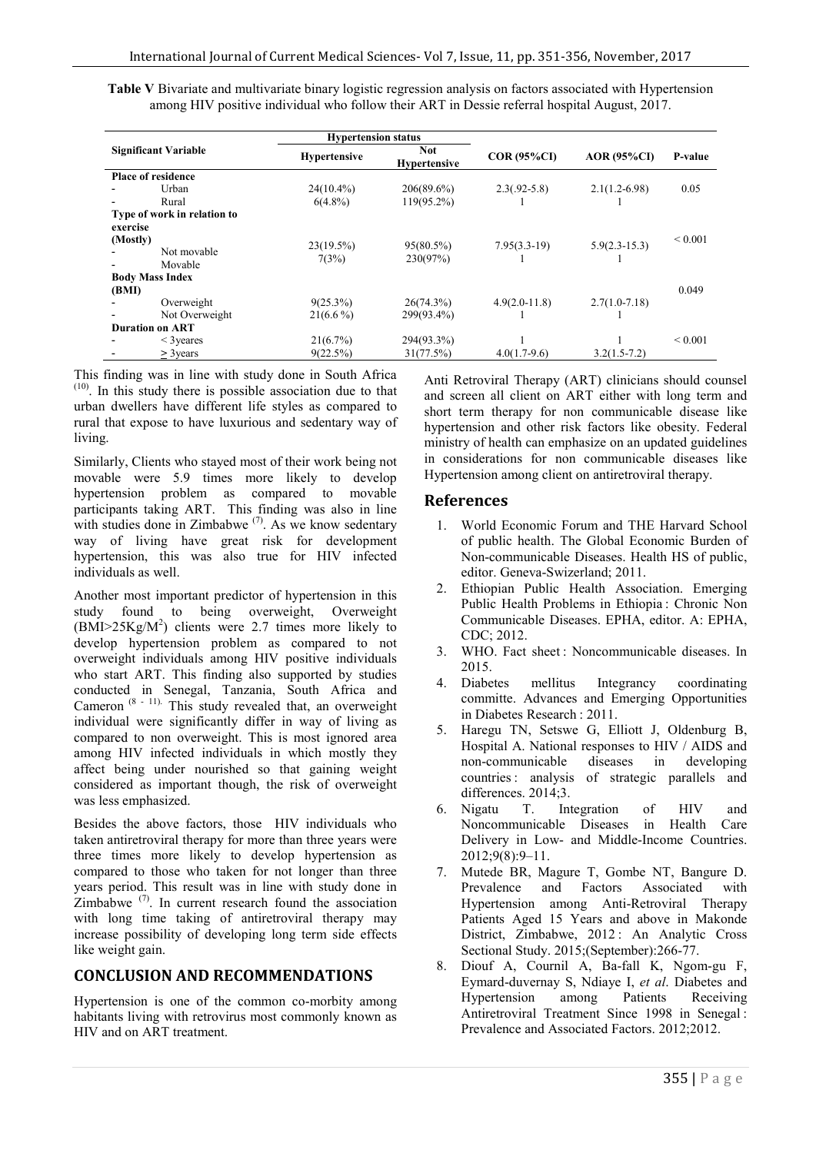**Table V** Bivariate and multivariate binary logistic regression analysis on factors associated with Hypertension among HIV positive individual who follow their ART in Dessie referral hospital August, 2017.

| <b>Significant Variable</b> |                             |              | <b>Hypertension status</b><br><b>Not</b><br>$COR(95\%CI)$<br><b>Hypertensive</b><br><b>Hypertensive</b> |                   |                    | P-value      |
|-----------------------------|-----------------------------|--------------|---------------------------------------------------------------------------------------------------------|-------------------|--------------------|--------------|
|                             |                             |              |                                                                                                         |                   | <b>AOR (95%CI)</b> |              |
|                             | <b>Place of residence</b>   |              |                                                                                                         |                   |                    |              |
|                             | Urban                       | $24(10.4\%)$ | $206(89.6\%)$                                                                                           | $2.3(.92-5.8)$    | $2.1(1.2-6.98)$    | 0.05         |
|                             | Rural                       | $6(4.8\%)$   | 119(95.2%)                                                                                              |                   |                    |              |
| exercise                    | Type of work in relation to |              |                                                                                                         |                   |                    |              |
| (Mostly)                    |                             | 23(19.5%)    | $95(80.5\%)$                                                                                            | $7.95(3.3-19)$    | $5.9(2.3 - 15.3)$  | ${}_{0.001}$ |
|                             | Not movable<br>Movable      | 7(3%)        | 230(97%)                                                                                                |                   |                    |              |
|                             | <b>Body Mass Index</b>      |              |                                                                                                         |                   |                    |              |
| (BMI)                       |                             |              |                                                                                                         |                   |                    | 0.049        |
|                             | Overweight                  | $9(25.3\%)$  | 26(74.3%)                                                                                               | $4.9(2.0 - 11.8)$ | $2.7(1.0 - 7.18)$  |              |
|                             | Not Overweight              | $21(6.6\%)$  | 299(93.4%)                                                                                              |                   |                    |              |
|                             | <b>Duration on ART</b>      |              |                                                                                                         |                   |                    |              |
|                             | $\leq$ 3 yeares             | 21(6.7%)     | 294(93.3%)                                                                                              |                   |                    | ${}_{0.001}$ |
|                             | $>$ 3 years                 | 9(22.5%)     | 31(77.5%)                                                                                               | $4.0(1.7-9.6)$    | $3.2(1.5 - 7.2)$   |              |

This finding was in line with study done in South Africa (10). In this study there is possible association due to that urban dwellers have different life styles as compared to rural that expose to have luxurious and sedentary way of living.

Similarly, Clients who stayed most of their work being not movable were 5.9 times more likely to develop hypertension problem as compared to movable participants taking ART. This finding was also in line with studies done in Zimbabwe  $(7)$ . As we know sedentary way of living have great risk for development hypertension, this was also true for HIV infected individuals as well.

Another most important predictor of hypertension in this study found to being overweight, Overweight  $(BMI > 25Kg/M<sup>2</sup>)$  clients were 2.7 times more likely to develop hypertension problem as compared to not overweight individuals among HIV positive individuals who start ART. This finding also supported by studies conducted in Senegal, Tanzania, South Africa and Cameron  $(8 - 11)$ . This study revealed that, an overweight individual were significantly differ in way of living as compared to non overweight. This is most ignored area among HIV infected individuals in which mostly they affect being under nourished so that gaining weight considered as important though, the risk of overweight was less emphasized.

Besides the above factors, those HIV individuals who taken antiretroviral therapy for more than three years were three times more likely to develop hypertension as compared to those who taken for not longer than three years period. This result was in line with study done in Zimbabwe  $(7)$ . In current research found the association with long time taking of antiretroviral therapy may increase possibility of developing long term side effects like weight gain.

# **CONCLUSION AND RECOMMENDATIONS**

Hypertension is one of the common co-morbity among habitants living with retrovirus most commonly known as HIV and on ART treatment.

Anti Retroviral Therapy (ART) clinicians should counsel and screen all client on ART either with long term and short term therapy for non communicable disease like hypertension and other risk factors like obesity. Federal ministry of health can emphasize on an updated guidelines in considerations for non communicable diseases like Hypertension among client on antiretroviral therapy.

## **References**

- 1. World Economic Forum and THE Harvard School of public health. The Global Economic Burden of Non-communicable Diseases. Health HS of public, editor. Geneva-Swizerland; 2011.
- 2. Ethiopian Public Health Association. Emerging Public Health Problems in Ethiopia : Chronic Non Communicable Diseases. EPHA, editor. A: EPHA, CDC; 2012.
- 3. WHO. Fact sheet : Noncommunicable diseases. In 2015.
- 4. Diabetes mellitus Integrancy coordinating committe. Advances and Emerging Opportunities in Diabetes Research : 2011.
- 5. Haregu TN, Setswe G, Elliott J, Oldenburg B, Hospital A. National responses to HIV / AIDS and non-communicable diseases in developing countries : analysis of strategic parallels and differences.  $2014;3$ .<br>6. Nigatu T. In
- T. Integration of HIV and Noncommunicable Diseases in Health Care Delivery in Low- and Middle-Income Countries. 2012;9(8):9–11.
- 7. Mutede BR, Magure T, Gombe NT, Bangure D. Prevalence and Factors Associated with Hypertension among Anti-Retroviral Therapy Patients Aged 15 Years and above in Makonde District, Zimbabwe, 2012 : An Analytic Cross Sectional Study. 2015;(September):266-77.
- 8. Diouf A, Cournil A, Ba-fall K, Ngom-gu F, Eymard-duvernay S, Ndiaye I, *et al*. Diabetes and Hypertension among Patients Receiving Antiretroviral Treatment Since 1998 in Senegal : Prevalence and Associated Factors. 2012;2012.